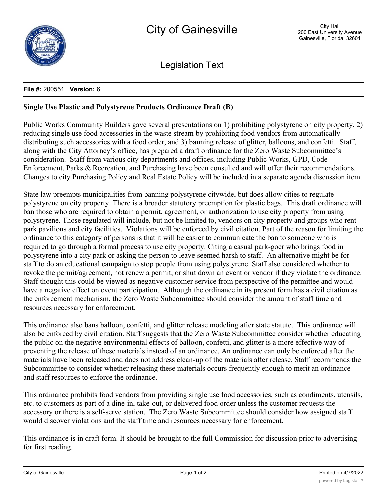

Legislation Text

## **File #:** 200551., **Version:** 6

## **Single Use Plastic and Polystyrene Products Ordinance Draft (B)**

Public Works Community Builders gave several presentations on 1) prohibiting polystyrene on city property, 2) reducing single use food accessories in the waste stream by prohibiting food vendors from automatically distributing such accessories with a food order, and 3) banning release of glitter, balloons, and confetti. Staff, along with the City Attorney's office, has prepared a draft ordinance for the Zero Waste Subcommittee's consideration. Staff from various city departments and offices, including Public Works, GPD, Code Enforcement, Parks & Recreation, and Purchasing have been consulted and will offer their recommendations. Changes to city Purchasing Policy and Real Estate Policy will be included in a separate agenda discussion item.

State law preempts municipalities from banning polystyrene citywide, but does allow cities to regulate polystyrene on city property. There is a broader statutory preemption for plastic bags. This draft ordinance will ban those who are required to obtain a permit, agreement, or authorization to use city property from using polystyrene. Those regulated will include, but not be limited to, vendors on city property and groups who rent park pavilions and city facilities. Violations will be enforced by civil citation. Part of the reason for limiting the ordinance to this category of persons is that it will be easier to communicate the ban to someone who is required to go through a formal process to use city property. Citing a casual park-goer who brings food in polystyrene into a city park or asking the person to leave seemed harsh to staff. An alternative might be for staff to do an educational campaign to stop people from using polystyrene. Staff also considered whether to revoke the permit/agreement, not renew a permit, or shut down an event or vendor if they violate the ordinance. Staff thought this could be viewed as negative customer service from perspective of the permittee and would have a negative effect on event participation. Although the ordinance in its present form has a civil citation as the enforcement mechanism, the Zero Waste Subcommittee should consider the amount of staff time and resources necessary for enforcement.

This ordinance also bans balloon, confetti, and glitter release modeling after state statute. This ordinance will also be enforced by civil citation. Staff suggests that the Zero Waste Subcommittee consider whether educating the public on the negative environmental effects of balloon, confetti, and glitter is a more effective way of preventing the release of these materials instead of an ordinance. An ordinance can only be enforced after the materials have been released and does not address clean-up of the materials after release. Staff recommends the Subcommittee to consider whether releasing these materials occurs frequently enough to merit an ordinance and staff resources to enforce the ordinance.

This ordinance prohibits food vendors from providing single use food accessories, such as condiments, utensils, etc. to customers as part of a dine-in, take-out, or delivered food order unless the customer requests the accessory or there is a self-serve station. The Zero Waste Subcommittee should consider how assigned staff would discover violations and the staff time and resources necessary for enforcement.

This ordinance is in draft form. It should be brought to the full Commission for discussion prior to advertising for first reading.